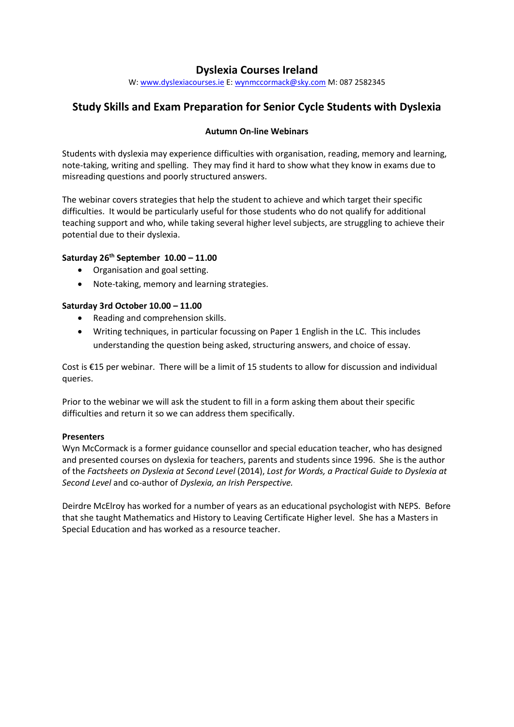# **Dyslexia Courses Ireland**

W: [www.dyslexiacourses.ie](http://www.dyslexiacourses.ie/) E: [wynmccormack@sky.com](mailto:wynmccormack@sky.com) M: 087 2582345

# **Study Skills and Exam Preparation for Senior Cycle Students with Dyslexia**

### **Autumn On-line Webinars**

Students with dyslexia may experience difficulties with organisation, reading, memory and learning, note-taking, writing and spelling. They may find it hard to show what they know in exams due to misreading questions and poorly structured answers.

The webinar covers strategies that help the student to achieve and which target their specific difficulties. It would be particularly useful for those students who do not qualify for additional teaching support and who, while taking several higher level subjects, are struggling to achieve their potential due to their dyslexia.

### **Saturday 26 th September 10.00 – 11.00**

- Organisation and goal setting.
- Note-taking, memory and learning strategies.

#### **Saturday 3rd October 10.00 – 11.00**

- Reading and comprehension skills.
- Writing techniques, in particular focussing on Paper 1 English in the LC. This includes understanding the question being asked, structuring answers, and choice of essay.

Cost is €15 per webinar. There will be a limit of 15 students to allow for discussion and individual queries.

Prior to the webinar we will ask the student to fill in a form asking them about their specific difficulties and return it so we can address them specifically.

#### **Presenters**

Wyn McCormack is a former guidance counsellor and special education teacher, who has designed and presented courses on dyslexia for teachers, parents and students since 1996. She is the author of the *Factsheets on Dyslexia at Second Level* (2014), *Lost for Words, a Practical Guide to Dyslexia at Second Level* and co-author of *Dyslexia, an Irish Perspective.*

Deirdre McElroy has worked for a number of years as an educational psychologist with NEPS. Before that she taught Mathematics and History to Leaving Certificate Higher level. She has a Masters in Special Education and has worked as a resource teacher.